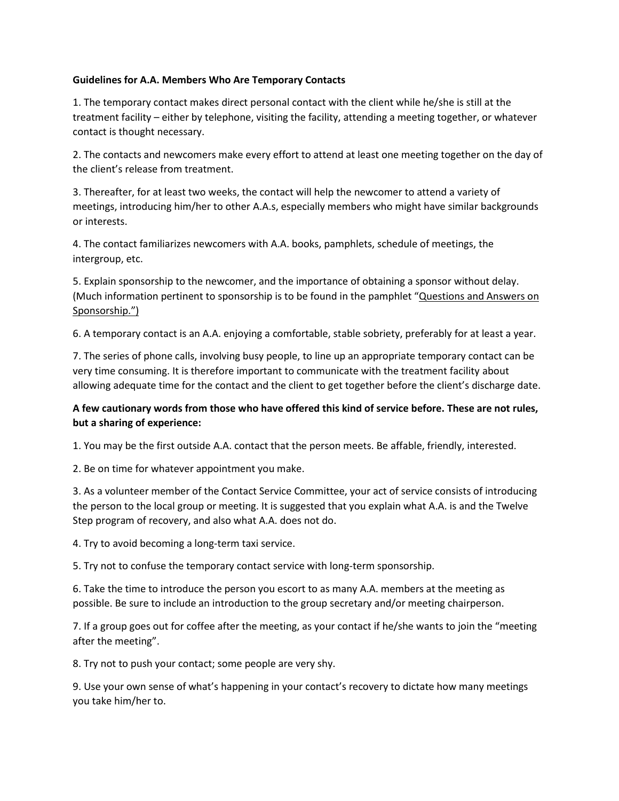## **Guidelines for A.A. Members Who Are Temporary Contacts**

1. The temporary contact makes direct personal contact with the client while he/she is still at the treatment facility – either by telephone, visiting the facility, attending a meeting together, or whatever contact is thought necessary.

2. The contacts and newcomers make every effort to attend at least one meeting together on the day of the client's release from treatment.

3. Thereafter, for at least two weeks, the contact will help the newcomer to attend a variety of meetings, introducing him/her to other A.A.s, especially members who might have similar backgrounds or interests.

4. The contact familiarizes newcomers with A.A. books, pamphlets, schedule of meetings, the intergroup, etc.

5. Explain sponsorship to the newcomer, and the importance of obtaining a sponsor without delay. (Much information pertinent to sponsorship is to be found in the pamphlet "Questions and Answers on Sponsorship.")

6. A temporary contact is an A.A. enjoying a comfortable, stable sobriety, preferably for at least a year.

7. The series of phone calls, involving busy people, to line up an appropriate temporary contact can be very time consuming. It is therefore important to communicate with the treatment facility about allowing adequate time for the contact and the client to get together before the client's discharge date.

## **A few cautionary words from those who have offered this kind of service before. These are not rules, but a sharing of experience:**

1. You may be the first outside A.A. contact that the person meets. Be affable, friendly, interested.

2. Be on time for whatever appointment you make.

3. As a volunteer member of the Contact Service Committee, your act of service consists of introducing the person to the local group or meeting. It is suggested that you explain what A.A. is and the Twelve Step program of recovery, and also what A.A. does not do.

4. Try to avoid becoming a long-term taxi service.

5. Try not to confuse the temporary contact service with long-term sponsorship.

6. Take the time to introduce the person you escort to as many A.A. members at the meeting as possible. Be sure to include an introduction to the group secretary and/or meeting chairperson.

7. If a group goes out for coffee after the meeting, as your contact if he/she wants to join the "meeting after the meeting".

8. Try not to push your contact; some people are very shy.

9. Use your own sense of what's happening in your contact's recovery to dictate how many meetings you take him/her to.